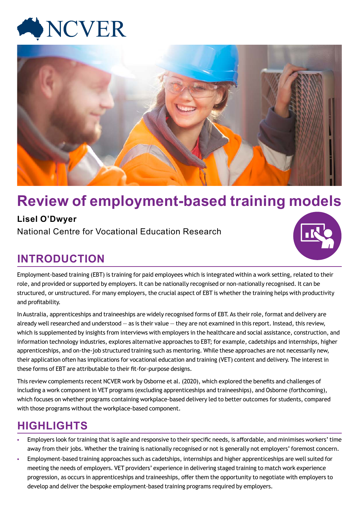



# **Review of employment-based training models**

## **Lisel O'Dwyer**

National Centre for Vocational Education Research

## **INTRODUCTION**



Employment-based training (EBT) is training for paid employees which is integrated within a work setting, related to their role, and provided or supported by employers. It can be nationally recognised or non-nationally recognised. It can be structured, or unstructured. For many employers, the crucial aspect of EBT is whether the training helps with productivity and profitability.

In Australia, apprenticeships and traineeships are widely recognised forms of EBT. As their role, format and delivery are already well researched and understood  $-$  as is their value  $-$  they are not examined in this report. Instead, this review, which is supplemented by insights from interviews with employers in the healthcare and social assistance, construction, and information technology industries, explores alternative approaches to EBT; for example, cadetships and internships, higher apprenticeships, and on-the-job structured training such as mentoring. While these approaches are not necessarily new, their application often has implications for vocational education and training (VET) content and delivery. The interest in these forms of EBT are attributable to their fit-for-purpose designs.

This review complements recent NCVER work by Osborne et al. (2020), which explored the benefits and challenges of including a work component in VET programs (excluding apprenticeships and traineeships), and Osborne (forthcoming), which focuses on whether programs containing workplace-based delivery led to better outcomes for students, compared with those programs without the workplace-based component.

## **HIGHLIGHTS**

- Employers look for training that is agile and responsive to their specific needs, is affordable, and minimises workers' time away from their jobs. Whether the training is nationally recognised or not is generally not employers' foremost concern.
- Employment-based training approaches such as cadetships, internships and higher apprenticeships are well suited for meeting the needs of employers. VET providers' experience in delivering staged training to match work experience progression, as occurs in apprenticeships and traineeships, offer them the opportunity to negotiate with employers to develop and deliver the bespoke employment-based training programs required by employers.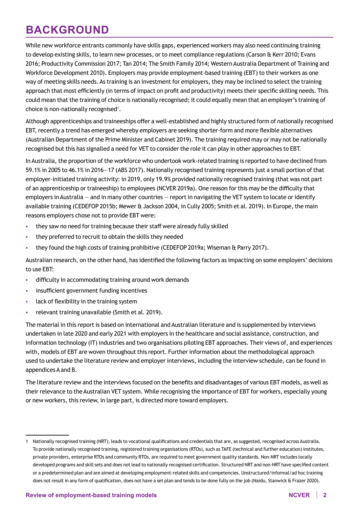## **BACKGROUND**

While new workforce entrants commonly have skills gaps, experienced workers may also need continuing training to develop existing skills, to learn new processes, or to meet compliance regulations (Carson & Kerr 2010; Evans 2016; Productivity Commission 2017; Tan 2014; The Smith Family 2014; Western Australia Department of Training and Workforce Development 2010). Employers may provide employment-based training (EBT) to their workers as one way of meeting skills needs. As training is an investment for employers, they may be inclined to select the training approach that most efficiently (in terms of impact on profit and productivity) meets their specific skilling needs. This could mean that the training of choice is nationally recognised; it could equally mean that an employer's training of choice is non-nationally recognised $^1$ .

Although apprenticeships and traineeships offer a well-established and highly structured form of nationally recognised EBT, recently a trend has emerged whereby employers are seeking shorter-form and more flexible alternatives (Australian Department of the Prime Minister and Cabinet 2019). The training required may or may not be nationally recognised but this has signalled a need for VET to consider the role it can play in other approaches to EBT.

In Australia, the proportion of the workforce who undertook work-related training is reported to have declined from 59.1% in 2005 to 46.1% in 2016—17 (ABS 2017). Nationally recognised training represents just a small portion of that employer-initiated training activity: in 2019, only 19.9% provided nationally recognised training (that was not part of an apprenticeship or traineeship) to employees (NCVER 2019a). One reason for this may be the difficulty that employers in Australia — and in many other countries — report in navigating the VET system to locate or identify available training (CEDEFOP 2015b; Mewer & Jackson 2004, in Cully 2005; Smith et al. 2019). In Europe, the main reasons employers chose not to provide EBT were:

- they saw no need for training because their staff were already fully skilled
- they preferred to recruit to obtain the skills they needed
- they found the high costs of training prohibitive (CEDEFOP 2019a; Wiseman & Parry 2017).

Australian research, on the other hand, has identified the following factors as impacting on some employers' decisions to use EBT:

- difficulty in accommodating training around work demands
- insufficient government funding incentives
- **I.** lack of flexibility in the training system
- relevant training unavailable (Smith et al. 2019).

The material in this report is based on international and Australian literature and is supplemented by interviews undertaken in late 2020 and early 2021 with employers in the healthcare and social assistance, construction, and information technology (IT) industries and two organisations piloting EBT approaches. Their views of, and experiences with, models of EBT are woven throughout this report. Further information about the methodological approach used to undertake the literature review and employer interviews, including the interview schedule, can be found in appendices A and B.

The literature review and the interviews focused on the benefits and disadvantages of various EBT models, as well as their relevance to the Australian VET system. While recognising the importance of EBT for workers, especially young or new workers, this review, in large part, is directed more toward employers.

<sup>1</sup> Nationally recognised training (NRT), leads to vocational qualifications and credentials that are, as suggested, recognised across Australia. To provide nationally recognised training, registered training organisations (RTOs), such as TAFE (technical and further education) institutes, private providers, enterprise RTOs and community RTOs, are required to meet government quality standards. Non-NRT includes locally developed programs and skill sets and does not lead to nationally recognised certification. Structured NRT and non-NRT have specified content or a predetermined plan and are aimed at developing employment-related skills and competencies. Unstructured/informal/ad hoc training does not result in any form of qualification, does not have a set plan and tends to be done fully on the job (Naidu, Stanwick & Frazer 2020).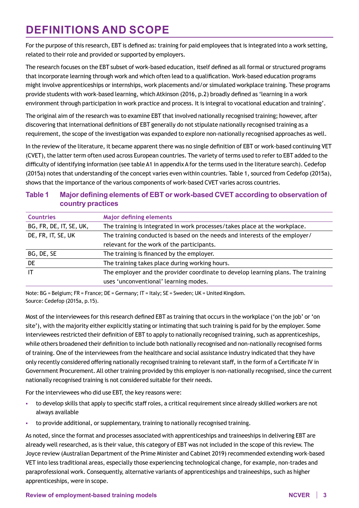## **DEFINITIONS AND SCOPE**

For the purpose of this research, EBT is defined as: training for paid employees that is integrated into a work setting, related to their role and provided or supported by employers.

The research focuses on the EBT subset of work-based education, itself defined as all formal or structured programs that incorporate learning through work and which often lead to a qualification. Work-based education programs might involve apprenticeships or internships, work placements and/or simulated workplace training. These programs provide students with work-based learning, which Atkinson (2016, p.2) broadly defined as 'learning in a work environment through participation in work practice and process. It is integral to vocational education and training'.

The original aim of the research was to examine EBT that involved nationally recognised training; however, after discovering that international definitions of EBT generally do not stipulate nationally recognised training as a requirement, the scope of the investigation was expanded to explore non-nationally recognised approaches as well.

In the review of the literature, it became apparent there was no single definition of EBT or work-based continuing VET (CVET), the latter term often used across European countries. The variety of terms used to refer to EBT added to the difficulty of identifying information (see table A1 in appendix A for the terms used in the literature search). Cedefop (2015a) notes that understanding of the concept varies even within countries. Table 1, sourced from Cedefop (2015a), shows that the importance of the various components of work-based CVET varies across countries.

## **Table 1 Major defining elements of EBT or work-based CVET according to observation of country practices**

| <b>Countries</b>        | <b>Major defining elements</b>                                                   |  |  |
|-------------------------|----------------------------------------------------------------------------------|--|--|
| BG, FR, DE, IT, SE, UK, | The training is integrated in work processes/takes place at the workplace.       |  |  |
| DE, FR, IT, SE, UK      | The training conducted is based on the needs and interests of the employer/      |  |  |
|                         | relevant for the work of the participants.                                       |  |  |
| BG, DE, SE              | The training is financed by the employer.                                        |  |  |
| DE                      | The training takes place during working hours.                                   |  |  |
| IT                      | The employer and the provider coordinate to develop learning plans. The training |  |  |
|                         | uses 'unconventional' learning modes.                                            |  |  |

Note: BG = Belgium; FR = France; DE = Germany; IT = Italy; SE = Sweden; UK = United Kingdom. Source: Cedefop (2015a, p.15).

Most of the interviewees for this research defined EBT as training that occurs in the workplace ('on the job' or 'on site'), with the majority either explicitly stating or intimating that such training is paid for by the employer. Some interviewees restricted their definition of EBT to apply to nationally recognised training, such as apprenticeships, while others broadened their definition to include both nationally recognised and non-nationally recognised forms of training. One of the interviewees from the healthcare and social assistance industry indicated that they have only recently considered offering nationally recognised training to relevant staff, in the form of a Certificate IV in Government Procurement. All other training provided by this employer is non-nationally recognised, since the current nationally recognised training is not considered suitable for their needs.

For the interviewees who did use EBT, the key reasons were:

- to develop skills that apply to specific staff roles, a critical requirement since already skilled workers are not always available
- to provide additional, or supplementary, training to nationally recognised training.

As noted, since the format and processes associated with apprenticeships and traineeships in delivering EBT are already well researched, as is their value, this category of EBT was not included in the scope of this review. The Joyce review (Australian Department of the Prime Minister and Cabinet 2019) recommended extending work-based VET into less traditional areas, especially those experiencing technological change, for example, non-trades and paraprofessional work. Consequently, alternative variants of apprenticeships and traineeships, such as higher apprenticeships, were in scope.

#### **Review of employment-based training models NCVER 3 NCVER 3**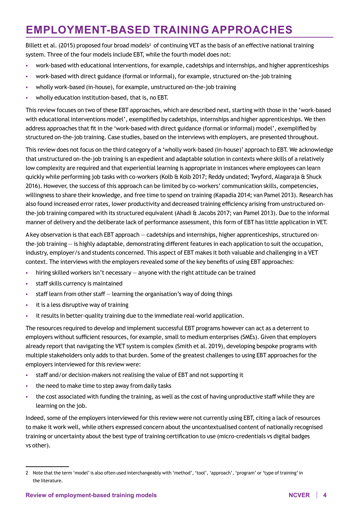## **EMPLOYMENT-BASED TRAINING APPROACHES**

Billett et al. (2015) proposed four broad models<sup>2</sup> of continuing VET as the basis of an effective national training system. Three of the four models include EBT, while the fourth model does not:

- work-based with educational interventions, for example, cadetships and internships, and higher apprenticeships
- work-based with direct guidance (formal or informal), for example, structured on-the-job training
- wholly work-based (in-house), for example, unstructured on-the-job training
- wholly education institution-based, that is, no EBT.

This review focuses on two of these EBT approaches, which are described next, starting with those in the 'work-based with educational interventions model', exemplified by cadetships, internships and higher apprenticeships. We then address approaches that fit in the 'work-based with direct guidance (formal or informal) model', exemplified by structured on-the-job training. Case studies, based on the interviews with employers, are presented throughout.

This review does not focus on the third category of a 'wholly work-based (in-house)' approach to EBT. We acknowledge that unstructured on-the-job training is an expedient and adaptable solution in contexts where skills of a relatively low complexity are required and that experiential learning is appropriate in instances where employees can learn quickly while performing job tasks with co-workers (Kolb & Kolb 2017; Reddy undated; Twyford, Alagaraja & Shuck 2016). However, the success of this approach can be limited by co-workers' communication skills, competencies, willingness to share their knowledge, and free time to spend on training (Kapadia 2014; van Pamel 2013). Research has also found increased error rates, lower productivity and decreased training efficiency arising from unstructured onthe-job training compared with its structured equivalent (Ahadi & Jacobs 2017; van Pamel 2013). Due to the informal manner of delivery and the deliberate lack of performance assessment, this form of EBT has little application in VET.

A key observation is that each EBT approach — cadetships and internships, higher apprenticeships, structured onthe-job training — is highly adaptable, demonstrating different features in each application to suit the occupation, industry, employer/s and students concerned. This aspect of EBT makes it both valuable and challenging in a VET context. The interviews with the employers revealed some of the key benefits of using EBT approaches:

- hiring skilled workers isn't necessary anyone with the right attitude can be trained
- **staff skills currency is maintained**
- staff learn from other staff learning the organisation's way of doing things
- it is a less disruptive way of training
- it results in better-quality training due to the immediate real-world application.

The resources required to develop and implement successful EBT programs however can act as a deterrent to employers without sufficient resources, for example, small to medium enterprises (SMEs). Given that employers already report that navigating the VET system is complex (Smith et al. 2019), developing bespoke programs with multiple stakeholders only adds to that burden. Some of the greatest challenges to using EBT approaches for the employers interviewed for this review were:

- staff and/or decision-makers not realising the value of EBT and not supporting it
- the need to make time to step away from daily tasks
- the cost associated with funding the training, as well as the cost of having unproductive staff while they are learning on the job.

Indeed, some of the employers interviewed for this review were not currently using EBT, citing a lack of resources to make it work well, while others expressed concern about the uncontextualised content of nationally recognised training or uncertainty about the best type of training certification to use (micro-credentials vs digital badges vs other).

<sup>2</sup> Note that the term 'model' is also often used interchangeably with 'method', 'tool', 'approach', 'program' or 'type of training' in the literature.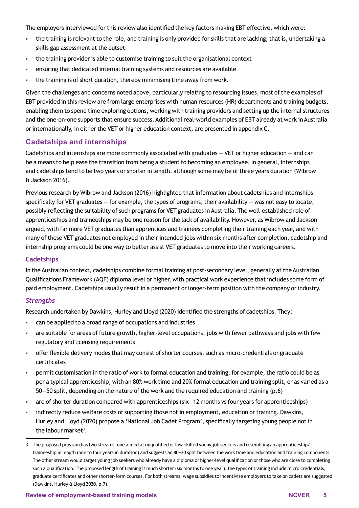The employers interviewed for this review also identified the key factors making EBT effective, which were:

- the training is relevant to the role, and training is only provided for skills that are lacking; that is, undertaking a skills gap assessment at the outset
- the training provider is able to customise training to suit the organisational context
- ensuring that dedicated internal training systems and resources are available
- the training is of short duration, thereby minimising time away from work.

Given the challenges and concerns noted above, particularly relating to resourcing issues, most of the examples of EBT provided in this review are from large enterprises with human resources (HR) departments and training budgets, enabling them to spend time exploring options, working with training providers and setting up the internal structures and the one-on-one supports that ensure success. Additional real-world examples of EBT already at work in Australia or internationally, in either the VET or higher education context, are presented in appendix C.

### **Cadetships and internships**

Cadetships and internships are more commonly associated with graduates — VET or higher education — and can be a means to help ease the transition from being a student to becoming an employee. In general, internships and cadetships tend to be two years or shorter in length, although some may be of three years duration (Wibrow & Jackson 2016).

Previous research by Wibrow and Jackson (2016) highlighted that information about cadetships and internships specifically for VET graduates  $-$  for example, the types of programs, their availability  $-$  was not easy to locate, possibly reflecting the suitability of such programs for VET graduates in Australia. The well-established role of apprenticeships and traineeships may be one reason for the lack of availability. However, as Wibrow and Jackson argued, with far more VET graduates than apprentices and trainees completing their training each year, and with many of these VET graduates not employed in their intended jobs within six months after completion, cadetship and internship programs could be one way to better assist VET graduates to move into their working careers.

#### **Cadetships**

In the Australian context, cadetships combine formal training at post-secondary level, generally at the Australian Qualifications Framework (AQF) diploma level or higher, with practical work experience that includes some form of paid employment. Cadetships usually result in a permanent or longer-term position with the company or industry.

#### *Strengths*

Research undertaken by Dawkins, Hurley and Lloyd (2020) identified the strengths of cadetships. They:

- can be applied to a broad range of occupations and industries
- are suitable for areas of future growth, higher-level occupations, jobs with fewer pathways and jobs with few regulatory and licensing requirements
- offer flexible delivery modes that may consist of shorter courses, such as micro-credentials or graduate certificates
- permit customisation in the ratio of work to formal education and training; for example, the ratio could be as per a typical apprenticeship, with an 80% work time and 20% formal education and training split, or as varied as a 50—50 split, depending on the nature of the work and the required education and training (p.6)
- are of shorter duration compared with apprenticeships (six—12 months vs four years for apprenticeships)
- indirectly reduce welfare costs of supporting those not in employment, education or training. Dawkins, Hurley and Lloyd (2020) propose a 'National Job Cadet Program', specifically targeting young people not in the labour market<sup>3</sup>.

<sup>3</sup> The proposed program has two streams: one aimed at unqualified or low-skilled young job seekers and resembling an apprenticeship/ traineeship in length (one to four years in duration) and suggests an 80−20 split between the work time and education and training components. The other stream would target young job seekers who already have a diploma or higher-level qualification or those who are close to completing such a qualification. The proposed length of training is much shorter (six months to one year); the types of training include micro credentials, graduate certificates and other shorter-form courses. For both streams, wage subsidies to incentivise employers to take on cadets are suggested (Dawkins, Hurley & Lloyd 2020, p.7).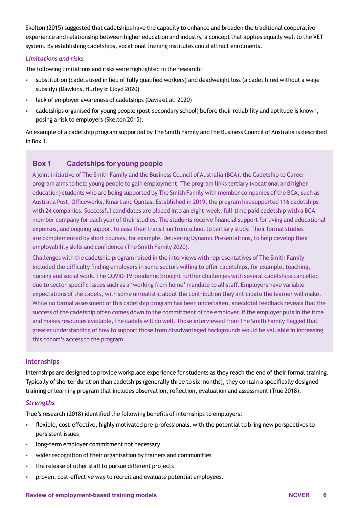Skelton (2015) suggested that cadetships have the capacity to enhance and broaden the traditional cooperative experience and relationship between higher education and industry, a concept that applies equally well to the VET system. By establishing cadetships, vocational training institutes could attract enrolments.

#### *Limitations and risks*

The following limitations and risks were highlighted in the research:

- substitution (cadets used in lieu of fully qualified workers) and deadweight loss (a cadet hired without a wage subsidy) (Dawkins, Hurley & Lloyd 2020)
- lack of employer awareness of cadetships (Davis et al. 2020)
- cadetships organised for young people (post-secondary school) before their reliability and aptitude is known, posing a risk to employers (Skelton 2015).

An example of a cadetship program supported by The Smith Family and the Business Council of Australia is described in Box 1.

### **Box 1 Cadetships for young people**

A joint initiative of The Smith Family and the Business Council of Australia (BCA), the Cadetship to Career program aims to help young people to gain employment. The program links tertiary (vocational and higher education) students who are being supported by The Smith Family with member companies of the BCA, such as Australia Post, Officeworks, Kmart and Qantas. Established in 2019, the program has supported 116 cadetships with 24 companies. Successful candidates are placed into an eight-week, full-time paid cadetship with a BCA member company for each year of their studies. The students receive financial support for living and educational expenses, and ongoing support to ease their transition from school to tertiary study. Their formal studies are complemented by short courses, for example, Delivering Dynamic Presentations, to help develop their employability skills and confidence (The Smith Family 2020).

Challenges with the cadetship program raised in the interviews with representatives of The Smith Family included the difficulty finding employers in some sectors willing to offer cadetships, for example, teaching, nursing and social work. The COVID-19 pandemic brought further challenges with several cadetships cancelled due to sector-specific issues such as a 'working from home' mandate to all staff. Employers have variable expectations of the cadets, with some unrealistic about the contribution they anticipate the learner will make. While no formal assessment of this cadetship program has been undertaken, anecdotal feedback reveals that the success of the cadetship often comes down to the commitment of the employer. If the employer puts in the time and makes resources available, the cadets will do well. Those interviewed from The Smith Family flagged that greater understanding of how to support those from disadvantaged backgrounds would be valuable in increasing this cohort's access to the program.

#### **Internships**

Internships are designed to provide workplace experience for students as they reach the end of their formal training. Typically of shorter duration than cadetships (generally three to six months), they contain a specifically designed training or learning program that includes observation, reflection, evaluation and assessment (True 2018).

#### *Strengths*

True's research (2018) identified the following benefits of internships to employers:

- flexible, cost‐effective, highly motivated pre‐professionals, with the potential to bring new perspectives to persistent issues
- **In the long-term employer commitment not necessary**
- wider recognition of their organisation by trainers and communities
- the release of other staff to pursue different projects
- proven, cost-effective way to recruit and evaluate potential employees.

#### **Review of employment-based training models NCVER 6**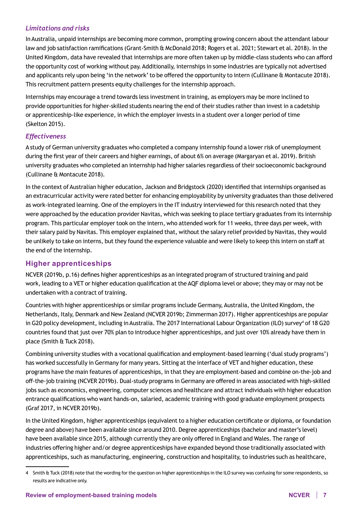### *Limitations and risks*

In Australia, unpaid internships are becoming more common, prompting growing concern about the attendant labour law and job satisfaction ramifications (Grant-Smith & McDonald 2018; Rogers et al. 2021; Stewart et al. 2018). In the United Kingdom, data have revealed that internships are more often taken up by middle-class students who can afford the opportunity cost of working without pay. Additionally, internships in some industries are typically not advertised and applicants rely upon being 'in the network' to be offered the opportunity to intern (Cullinane & Montacute 2018). This recruitment pattern presents equity challenges for the internship approach.

Internships may encourage a trend towards less investment in training, as employers may be more inclined to provide opportunities for higher-skilled students nearing the end of their studies rather than invest in a cadetship or apprenticeship-like experience, in which the employer invests in a student over a longer period of time (Skelton 2015).

### *Effectiveness*

A study of German university graduates who completed a company internship found a lower risk of unemployment during the first year of their careers and higher earnings, of about 6% on average (Margaryan et al. 2019). British university graduates who completed an internship had higher salaries regardless of their socioeconomic background (Cullinane & Montacute 2018).

In the context of Australian higher education, Jackson and Bridgstock (2020) identified that internships organised as an extracurricular activity were rated better for enhancing employability by university graduates than those delivered as work-integrated learning. One of the employers in the IT industry interviewed for this research noted that they were approached by the education provider Navitas, which was seeking to place tertiary graduates from its internship program. This particular employer took on the intern, who attended work for 11 weeks, three days per week, with their salary paid by Navitas. This employer explained that, without the salary relief provided by Navitas, they would be unlikely to take on interns, but they found the experience valuable and were likely to keep this intern on staff at the end of the internship.

### **Higher apprenticeships**

NCVER (2019b, p.16) defines higher apprenticeships as an integrated program of structured training and paid work, leading to a VET or higher education qualification at the AQF diploma level or above; they may or may not be undertaken with a contract of training.

Countries with higher apprenticeships or similar programs include Germany, Australia, the United Kingdom, the Netherlands, Italy, Denmark and New Zealand (NCVER 2019b; Zimmerman 2017). Higher apprenticeships are popular in G20 policy development, including in Australia. The 2017 International Labour Organization (ILO) survey<sup>4</sup> of 18 G20 countries found that just over 70% plan to introduce higher apprenticeships, and just over 10% already have them in place (Smith & Tuck 2018).

Combining university studies with a vocational qualification and employment-based learning ('dual study programs') has worked successfully in Germany for many years. Sitting at the interface of VET and higher education, these programs have the main features of apprenticeships, in that they are employment-based and combine on-the-job and off-the-job training (NCVER 2019b). Dual-study programs in Germany are offered in areas associated with high-skilled jobs such as economics, engineering, computer sciences and healthcare and attract individuals with higher education entrance qualifications who want hands-on, salaried, academic training with good graduate employment prospects (Graf 2017, in NCVER 2019b).

In the United Kingdom, higher apprenticeships (equivalent to a higher education certificate or diploma, or foundation degree and above) have been available since around 2010. Degree apprenticeships (bachelor and master's level) have been available since 2015, although currently they are only offered in England and Wales. The range of industries offering higher and/or degree apprenticeships have expanded beyond those traditionally associated with apprenticeships, such as manufacturing, engineering, construction and hospitality, to industries such as healthcare,

<sup>4</sup> Smith & Tuck (2018) note that the wording for the question on higher apprenticeships in the ILO survey was confusing for some respondents, so results are indicative only.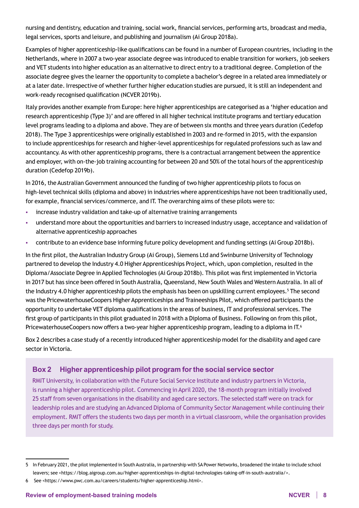nursing and dentistry, education and training, social work, financial services, performing arts, broadcast and media, legal services, sports and leisure, and publishing and journalism (Ai Group 2018a).

Examples of higher apprenticeship-like qualifications can be found in a number of European countries, including in the Netherlands, where in 2007 a two-year associate degree was introduced to enable transition for workers, job seekers and VET students into higher education as an alternative to direct entry to a traditional degree. Completion of the associate degree gives the learner the opportunity to complete a bachelor's degree in a related area immediately or at a later date. Irrespective of whether further higher education studies are pursued, it is still an independent and work-ready recognised qualification (NCVER 2019b).

Italy provides another example from Europe: here higher apprenticeships are categorised as a 'higher education and research apprenticeship (Type 3)' and are offered in all higher technical institute programs and tertiary education level programs leading to a diploma and above. They are of between six months and three years duration (Cedefop 2018). The Type 3 apprenticeships were originally established in 2003 and re-formed in 2015, with the expansion to include apprenticeships for research and higher-level apprenticeships for regulated professions such as law and accountancy. As with other apprenticeship programs, there is a contractual arrangement between the apprentice and employer, with on-the-job training accounting for between 20 and 50% of the total hours of the apprenticeship duration (Cedefop 2019b).

In 2016, the Australian Government announced the funding of two higher apprenticeship pilots to focus on high-level technical skills (diploma and above) in industries where apprenticeships have not been traditionally used, for example, financial services/commerce, and IT. The overarching aims of these pilots were to:

- increase industry validation and take-up of alternative training arrangements
- understand more about the opportunities and barriers to increased industry usage, acceptance and validation of alternative apprenticeship approaches
- contribute to an evidence base informing future policy development and funding settings (Ai Group 2018b).

In the first pilot, the Australian Industry Group (Ai Group), Siemens Ltd and Swinburne University of Technology partnered to develop the Industry 4.0 Higher Apprenticeships Project, which, upon completion, resulted in the Diploma/Associate Degree in Applied Technologies (Ai Group 2018b). This pilot was first implemented in Victoria in 2017 but has since been offered in South Australia, Queensland, New South Wales and Western Australia. In all of the Industry 4.0 higher apprenticeship pilots the emphasis has been on upskilling current employees.<sup>5</sup> The second was the PricewaterhouseCoopers Higher Apprenticeships and Traineeships Pilot, which offered participants the opportunity to undertake VET diploma qualifications in the areas of business, IT and professional services. The first group of participants in this pilot graduated in 2018 with a Diploma of Business. Following on from this pilot, PricewaterhouseCoopers now offers a two-year higher apprenticeship program, leading to a diploma in IT.<sup>6</sup>

Box 2 describes a case study of a recently introduced higher apprenticeship model for the disability and aged care sector in Victoria.

## **Box 2 Higher apprenticeship pilot program for the social service sector**

RMIT University, in collaboration with the Future Social Service Institute and industry partners in Victoria, is running a higher apprenticeship pilot. Commencing in April 2020, the 18-month program initially involved 25 staff from seven organisations in the disability and aged care sectors. The selected staff were on track for leadership roles and are studying an Advanced Diploma of Community Sector Management while continuing their employment. RMIT offers the students two days per month in a virtual classroom, while the organisation provides three days per month for study.

<sup>5</sup> In February 2021, the pilot implemented in South Australia, in partnership with SA Power Networks, broadened the intake to include school leavers; see <<https://blog.aigroup.com.au/higher-apprenticeships-in-digital-technologies-taking-off-in-south-australia/>>.

<sup>6</sup> See [<https://www.pwc.com.au/careers/students/higher-apprenticeship.html>](https://www.pwc.com.au/careers/students/higher-apprenticeship.html).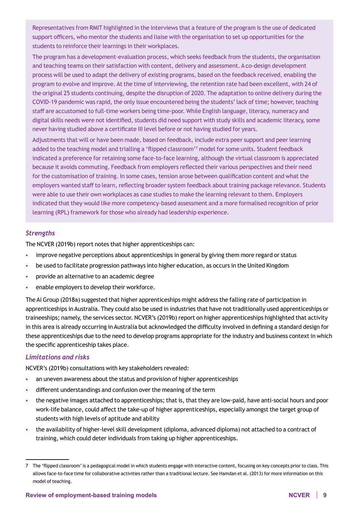Representatives from RMIT highlighted in the interviews that a feature of the program is the use of dedicated support officers, who mentor the students and liaise with the organisation to set up opportunities for the students to reinforce their learnings in their workplaces.

The program has a development-evaluation process, which seeks feedback from the students, the organisation and teaching teams on their satisfaction with content, delivery and assessment. A co-design development process will be used to adapt the delivery of existing programs, based on the feedback received, enabling the program to evolve and improve. At the time of interviewing, the retention rate had been excellent, with 24 of the original 25 students continuing, despite the disruption of 2020. The adaptation to online delivery during the COVID-19 pandemic was rapid, the only issue encountered being the students' lack of time; however, teaching staff are accustomed to full-time workers being time-poor. While English language, literacy, numeracy and digital skills needs were not identified, students did need support with study skills and academic literacy, some never having studied above a certificate III level before or not having studied for years.

Adjustments that will or have been made, based on feedback, include extra peer support and peer learning added to the teaching model and trialling a 'flipped classroom'<sup>7</sup> model for some units. Student feedback indicated a preference for retaining some face-to-face learning, although the virtual classroom is appreciated because it avoids commuting. Feedback from employers reflected their various perspectives and their need for the customisation of training. In some cases, tension arose between qualification content and what the employers wanted staff to learn, reflecting broader system feedback about training package relevance. Students were able to use their own workplaces as case studies to make the learning relevant to them. Employers indicated that they would like more competency-based assessment and a more formalised recognition of prior learning (RPL) framework for those who already had leadership experience.

#### *Strengths*

The NCVER (2019b) report notes that higher apprenticeships can:

- **improve negative perceptions about apprenticeships in general by giving them more regard or status**
- be used to facilitate progression pathways into higher education, as occurs in the United Kingdom
- provide an alternative to an academic degree
- **EXEC** enable employers to develop their workforce.

The Ai Group (2018a) suggested that higher apprenticeships might address the falling rate of participation in apprenticeships in Australia. They could also be used in industries that have not traditionally used apprenticeships or traineeships; namely, the services sector. NCVER's (2019b) report on higher apprenticeships highlighted that activity in this area is already occurring in Australia but acknowledged the difficulty involved in defining a standard design for these apprenticeships due to the need to develop programs appropriate for the industry and business context in which the specific apprenticeship takes place.

#### *Limitations and risks*

NCVER's (2019b) consultations with key stakeholders revealed:

- an uneven awareness about the status and provision of higher apprenticeships
- different understandings and confusion over the meaning of the term
- the negative images attached to apprenticeships; that is, that they are low-paid, have anti-social hours and poor work-life balance, could affect the take-up of higher apprenticeships, especially amongst the target group of students with high levels of aptitude and ability
- the availability of higher-level skill development (diploma, advanced diploma) not attached to a contract of training, which could deter individuals from taking up higher apprenticeships.

<sup>7</sup> The 'flipped classroom' is a pedagogical model in which students engage with interactive content, focusing on key concepts prior to class. This allows face-to-face time for collaborative activities rather than a traditional lecture. See Hamdan et al. (2013) for more information on this model of teaching.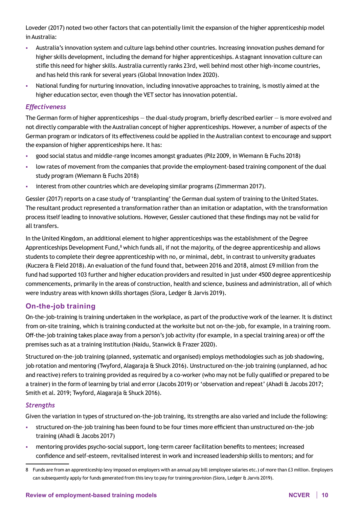Loveder (2017) noted two other factors that can potentially limit the expansion of the higher apprenticeship model in Australia:

- Australia's innovation system and culture lags behind other countries. Increasing innovation pushes demand for higher skills development, including the demand for higher apprenticeships. A stagnant innovation culture can stifle this need for higher skills. Australia currently ranks 23rd, well behind most other high-income countries, and has held this rank for several years (Global Innovation Index 2020).
- National funding for nurturing innovation, including innovative approaches to training, is mostly aimed at the higher education sector, even though the VET sector has innovation potential.

#### *Effectiveness*

The German form of higher apprenticeships — the dual-study program, briefly described earlier — is more evolved and not directly comparable with the Australian concept of higher apprenticeships. However, a number of aspects of the German program or indicators of its effectiveness could be applied in the Australian context to encourage and support the expansion of higher apprenticeships here. It has:

- good social status and middle-range incomes amongst graduates (Pilz 2009, in Wiemann & Fuchs 2018)
- low rates of movement from the companies that provide the employment-based training component of the dual study program (Wiemann & Fuchs 2018)
- interest from other countries which are developing similar programs (Zimmerman 2017).

Gessler (2017) reports on a case study of 'transplanting' the German dual system of training to the United States. The resultant product represented a transformation rather than an imitation or adaptation, with the transformation process itself leading to innovative solutions. However, Gessler cautioned that these findings may not be valid for all transfers.

In the United Kingdom, an additional element to higher apprenticeships was the establishment of the Degree Apprenticeships Development Fund,<sup>8</sup> which funds all, if not the majority, of the degree apprenticeship and allows students to complete their degree apprenticeship with no, or minimal, debt, in contrast to university graduates (Kuczera & Field 2018). An evaluation of the fund found that, between 2016 and 2018, almost £9 million from the fund had supported 103 further and higher education providers and resulted in just under 4500 degree apprenticeship commencements, primarily in the areas of construction, health and science, business and administration, all of which were industry areas with known skills shortages (Siora, Ledger & Jarvis 2019).

### **On-the-job training**

On-the-job-training is training undertaken in the workplace, as part of the productive work of the learner. It is distinct from on-site training, which is training conducted at the worksite but not on-the-job, for example, in a training room. Off-the-job training takes place away from a person's job activity (for example, in a special training area) or off the premises such as at a training institution (Naidu, Stanwick & Frazer 2020).

Structured on-the-job training (planned, systematic and organised) employs methodologies such as job shadowing, job rotation and mentoring (Twyford, Alagaraja & Shuck 2016). Unstructured on-the-job training (unplanned, ad hoc and reactive) refers to training provided as required by a co-worker (who may not be fully qualified or prepared to be a trainer) in the form of learning by trial and error (Jacobs 2019) or 'observation and repeat' (Ahadi & Jacobs 2017; Smith et al. 2019; Twyford, Alagaraja & Shuck 2016).

#### *Strengths*

Given the variation in types of structured on-the-job training, its strengths are also varied and include the following:

- structured on-the-job training has been found to be four times more efficient than unstructured on-the-job training (Ahadi & Jacobs 2017)
- mentoring provides psycho-social support, long-term career facilitation benefits to mentees; increased confidence and self-esteem, revitalised interest in work and increased leadership skills to mentors; and for

<sup>8</sup> Funds are from an apprenticeship levy imposed on employers with an annual pay bill (employee salaries etc.) of more than £3 million. Employers can subsequently apply for funds generated from this levy to pay for training provision (Siora, Ledger & Jarvis 2019).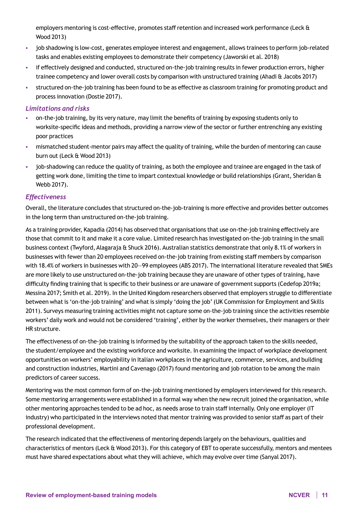employers mentoring is cost-effective, promotes staff retention and increased work performance (Leck & Wood 2013)

- job shadowing is low-cost, generates employee interest and engagement, allows trainees to perform job-related tasks and enables existing employees to demonstrate their competency (Jaworski et al. 2018)
- if effectively designed and conducted, structured on-the-job training results in fewer production errors, higher trainee competency and lower overall costs by comparison with unstructured training (Ahadi & Jacobs 2017)
- structured on-the-job training has been found to be as effective as classroom training for promoting product and process innovation (Dostie 2017).

#### *Limitations and risks*

- on-the-job training, by its very nature, may limit the benefits of training by exposing students only to worksite-specific ideas and methods, providing a narrow view of the sector or further entrenching any existing poor practices
- mismatched student-mentor pairs may affect the quality of training, while the burden of mentoring can cause burn out (Leck & Wood 2013)
- job-shadowing can reduce the quality of training, as both the employee and trainee are engaged in the task of getting work done, limiting the time to impart contextual knowledge or build relationships (Grant, Sheridan & Webb 2017).

#### *Effectiveness*

Overall, the literature concludes that structured on-the-job-training is more effective and provides better outcomes in the long term than unstructured on-the-job training.

As a training provider, Kapadia (2014) has observed that organisations that use on-the-job training effectively are those that commit to it and make it a core value. Limited research has investigated on-the-job training in the small business context (Twyford, Alagaraja & Shuck 2016). Australian statistics demonstrate that only 8.1% of workers in businesses with fewer than 20 employees received on-the-job training from existing staff members by comparison with 18.4% of workers in businesses with 20—99 employees (ABS 2017). The international literature revealed that SMEs are more likely to use unstructured on-the-job training because they are unaware of other types of training, have difficulty finding training that is specific to their business or are unaware of government supports (Cedefop 2019a; Messina 2017; Smith et al. 2019). In the United Kingdom researchers observed that employers struggle to differentiate between what is 'on-the-job training' and what is simply 'doing the job' (UK Commission for Employment and Skills 2011). Surveys measuring training activities might not capture some on-the-job training since the activities resemble workers' daily work and would not be considered 'training', either by the worker themselves, their managers or their HR structure.

The effectiveness of on-the-job training is informed by the suitability of the approach taken to the skills needed, the student/employee and the existing workforce and worksite. In examining the impact of workplace development opportunities on workers' employability in Italian workplaces in the agriculture, commerce, services, and building and construction industries, Martini and Cavenago (2017) found mentoring and job rotation to be among the main predictors of career success.

Mentoring was the most common form of on-the-job training mentioned by employers interviewed for this research. Some mentoring arrangements were established in a formal way when the new recruit joined the organisation, while other mentoring approaches tended to be ad hoc, as needs arose to train staff internally. Only one employer (IT industry) who participated in the interviews noted that mentor training was provided to senior staff as part of their professional development.

The research indicated that the effectiveness of mentoring depends largely on the behaviours, qualities and characteristics of mentors (Leck & Wood 2013). For this category of EBT to operate successfully, mentors and mentees must have shared expectations about what they will achieve, which may evolve over time (Sanyal 2017).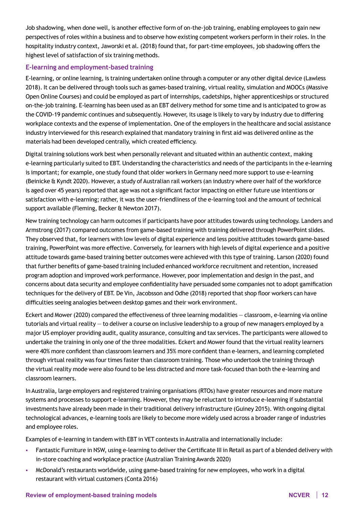Job shadowing, when done well, is another effective form of on-the-job training, enabling employees to gain new perspectives of roles within a business and to observe how existing competent workers perform in their roles. In the hospitality industry context, Jaworski et al. (2018) found that, for part-time employees, job shadowing offers the highest level of satisfaction of six training methods.

#### **E-learning and employment-based training**

E-learning, or online learning, is training undertaken online through a computer or any other digital device (Lawless 2018). It can be delivered through tools such as games-based training, virtual reality, simulation and MOOCs (Massive Open Online Courses) and could be employed as part of internships, cadetships, higher apprenticeships or structured on-the-job training. E-learning has been used as an EBT delivery method for some time and is anticipated to grow as the COVID-19 pandemic continues and subsequently. However, its usage is likely to vary by industry due to differing workplace contexts and the expense of implementation. One of the employers in the healthcare and social assistance industry interviewed for this research explained that mandatory training in first aid was delivered online as the materials had been developed centrally, which created efficiency.

Digital training solutions work best when personally relevant and situated within an authentic context, making e-learning particularly suited to EBT. Understanding the characteristics and needs of the participants in the e-learning is important; for example, one study found that older workers in Germany need more support to use e-learning (Beinicke & Kyndt 2020). However, a study of Australian rail workers (an industry where over half of the workforce is aged over 45 years) reported that age was not a significant factor impacting on either future use intentions or satisfaction with e-learning; rather, it was the user-friendliness of the e-learning tool and the amount of technical support available (Fleming, Becker & Newton 2017).

New training technology can harm outcomes if participants have poor attitudes towards using technology. Landers and Armstrong (2017) compared outcomes from game-based training with training delivered through PowerPoint slides. They observed that, for learners with low levels of digital experience and less positive attitudes towards game-based training, PowerPoint was more effective. Conversely, for learners with high levels of digital experience and a positive attitude towards game-based training better outcomes were achieved with this type of training. Larson (2020) found that further benefits of game-based training included enhanced workforce recruitment and retention, increased program adoption and improved work performance. However, poor implementation and design in the past, and concerns about data security and employee confidentiality have persuaded some companies not to adopt gamification techniques for the delivery of EBT. De Vin, Jacobsson and Odhe (2018) reported that shop floor workers can have difficulties seeing analogies between desktop games and their work environment.

Eckert and Mower (2020) compared the effectiveness of three learning modalities — classroom, e-learning via online tutorials and virtual reality — to deliver a course on inclusive leadership to a group of new managers employed by a major US employer providing audit, quality assurance, consulting and tax services. The participants were allowed to undertake the training in only one of the three modalities. Eckert and Mower found that the virtual reality learners were 40% more confident than classroom learners and 35% more confident than e-learners, and learning completed through virtual reality was four times faster than classroom training. Those who undertook the training through the virtual reality mode were also found to be less distracted and more task-focused than both the e-learning and classroom learners.

In Australia, large employers and registered training organisations (RTOs) have greater resources and more mature systems and processes to support e-learning. However, they may be reluctant to introduce e-learning if substantial investments have already been made in their traditional delivery infrastructure (Guiney 2015). With ongoing digital technological advances, e-learning tools are likely to become more widely used across a broader range of industries and employee roles.

Examples of e-learning in tandem with EBT in VET contexts in Australia and internationally include:

- Fantastic Furniture in NSW, using e-learning to deliver the Certificate III in Retail as part of a blended delivery with in-store coaching and workplace practice (Australian Training Awards 2020)
- McDonald's restaurants worldwide, using game-based training for new employees, who work in a digital restaurant with virtual customers (Conta 2016)

#### **Review of employment-based training models NCVER 12**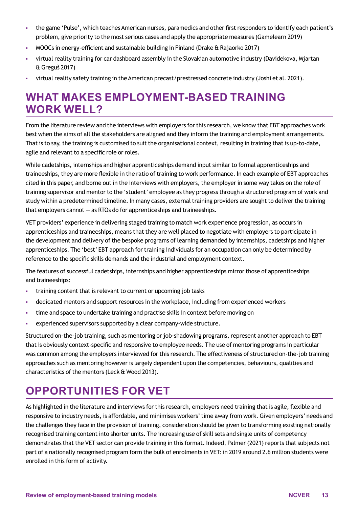- the game 'Pulse', which teaches American nurses, paramedics and other first responders to identify each patient's problem, give priority to the most serious cases and apply the appropriate measures (Gamelearn 2019)
- MOOCs in energy-efficient and sustainable building in Finland (Drake & Rajaorko 2017)
- virtual reality training for car dashboard assembly in the Slovakian automotive industry (Davidekova, Mjartan & Greguš 2017)
- virtual reality safety training in the American precast/prestressed concrete industry (Joshi et al. 2021).

## **WHAT MAKES EMPLOYMENT-BASED TRAINING WORK WELL?**

From the literature review and the interviews with employers for this research, we know that EBT approaches work best when the aims of all the stakeholders are aligned and they inform the training and employment arrangements. That is to say, the training is customised to suit the organisational context, resulting in training that is up-to-date, agile and relevant to a specific role or roles.

While cadetships, internships and higher apprenticeships demand input similar to formal apprenticeships and traineeships, they are more flexible in the ratio of training to work performance. In each example of EBT approaches cited in this paper, and borne out in the interviews with employers, the employer in some way takes on the role of training supervisor and mentor to the 'student' employee as they progress through a structured program of work and study within a predetermined timeline. In many cases, external training providers are sought to deliver the training that employers cannot — as RTOs do for apprenticeships and traineeships.

VET providers' experience in delivering staged training to match work experience progression, as occurs in apprenticeships and traineeships, means that they are well placed to negotiate with employers to participate in the development and delivery of the bespoke programs of learning demanded by internships, cadetships and higher apprenticeships. The 'best' EBT approach for training individuals for an occupation can only be determined by reference to the specific skills demands and the industrial and employment context.

The features of successful cadetships, internships and higher apprenticeships mirror those of apprenticeships and traineeships:

- training content that is relevant to current or upcoming job tasks
- dedicated mentors and support resources in the workplace, including from experienced workers
- time and space to undertake training and practise skills in context before moving on
- experienced supervisors supported by a clear company-wide structure.

Structured on-the-job training, such as mentoring or job-shadowing programs, represent another approach to EBT that is obviously context-specific and responsive to employee needs. The use of mentoring programs in particular was common among the employers interviewed for this research. The effectiveness of structured on-the-job training approaches such as mentoring however is largely dependent upon the competencies, behaviours, qualities and characteristics of the mentors (Leck & Wood 2013).

## **OPPORTUNITIES FOR VET**

As highlighted in the literature and interviews for this research, employers need training that is agile, flexible and responsive to industry needs, is affordable, and minimises workers' time away from work. Given employers' needs and the challenges they face in the provision of training, consideration should be given to transforming existing nationally recognised training content into shorter units. The increasing use of skill sets and single units of competency demonstrates that the VET sector can provide training in this format. Indeed, Palmer (2021) reports that subjects not part of a nationally recognised program form the bulk of enrolments in VET: in 2019 around 2.6 million students were enrolled in this form of activity.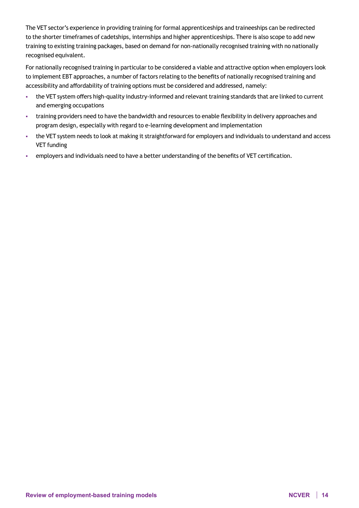The VET sector's experience in providing training for formal apprenticeships and traineeships can be redirected to the shorter timeframes of cadetships, internships and higher apprenticeships. There is also scope to add new training to existing training packages, based on demand for non-nationally recognised training with no nationally recognised equivalent.

For nationally recognised training in particular to be considered a viable and attractive option when employers look to implement EBT approaches, a number of factors relating to the benefits of nationally recognised training and accessibility and affordability of training options must be considered and addressed, namely:

- the VET system offers high-quality industry-informed and relevant training standards that are linked to current and emerging occupations
- training providers need to have the bandwidth and resources to enable flexibility in delivery approaches and program design, especially with regard to e-learning development and implementation
- the VET system needs to look at making it straightforward for employers and individuals to understand and access VET funding
- employers and individuals need to have a better understanding of the benefits of VET certification.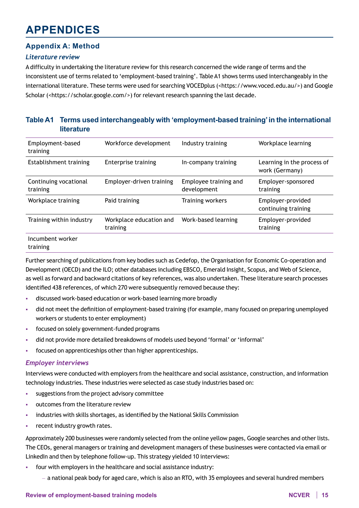## **APPENDICES**

## **Appendix A: Method**

### *Literature review*

A difficulty in undertaking the literature review for this research concerned the wide range of terms and the inconsistent use of terms related to 'employment-based training'. Table A1 shows terms used interchangeably in the international literature. These terms were used for searching VOCEDplus ([<https://www.voced.edu.au/](https://www.voced.edu.au/)>) and Google Scholar (<[https://scholar.google.com/>](https://scholar.google.com/)) for relevant research spanning the last decade.

## **Table A1 Terms used interchangeably with 'employment-based training'in the international literature**

| Employment-based<br>training      | Workforce development               | Industry training                    | Workplace learning                           |
|-----------------------------------|-------------------------------------|--------------------------------------|----------------------------------------------|
| Establishment training            | <b>Enterprise training</b>          | In-company training                  | Learning in the process of<br>work (Germany) |
| Continuing vocational<br>training | Employer-driven training            | Employee training and<br>development | Employer-sponsored<br>training               |
| Workplace training                | Paid training                       | Training workers                     | Employer-provided<br>continuing training     |
| Training within industry          | Workplace education and<br>training | Work-based learning                  | Employer-provided<br>training                |
| Incumbent worker<br>training      |                                     |                                      |                                              |

Further searching of publications from key bodies such as Cedefop, the Organisation for Economic Co-operation and Development (OECD) and the ILO; other databases including EBSCO, Emerald Insight, Scopus, and Web of Science, as well as forward and backward citations of key references, was also undertaken. These literature search processes identified 438 references, of which 270 were subsequently removed because they:

- discussed work-based education or work-based learning more broadly
- did not meet the definition of employment-based training (for example, many focused on preparing unemployed workers or students to enter employment)
- focused on solely government-funded programs
- did not provide more detailed breakdowns of models used beyond 'formal' or 'informal'
- focused on apprenticeships other than higher apprenticeships.

#### *Employer interviews*

Interviews were conducted with employers from the healthcare and social assistance, construction, and information technology industries. These industries were selected as case study industries based on:

- suggestions from the project advisory committee
- outcomes from the literature review
- industries with skills shortages, as identified by the National Skills Commission
- recent industry growth rates.

Approximately 200 businesses were randomly selected from the online yellow pages, Google searches and other lists. The CEOs, general managers or training and development managers of these businesses were contacted via email or LinkedIn and then by telephone follow-up. This strategy yielded 10 interviews:

- four with employers in the healthcare and social assistance industry:
	- a national peak body for aged care, which is also an RTO, with 35 employees and several hundred members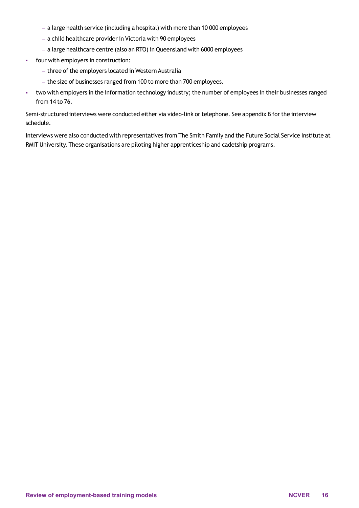- a large health service (including a hospital) with more than 10 000 employees
- a child healthcare provider in Victoria with 90 employees
- a large healthcare centre (also an RTO) in Queensland with 6000 employees
- four with employers in construction:
	- three of the employers located in Western Australia
	- the size of businesses ranged from 100 to more than 700 employees.
- two with employers in the information technology industry; the number of employees in their businesses ranged from 14 to 76.

Semi-structured interviews were conducted either via video-link or telephone. See appendix B for the interview schedule.

Interviews were also conducted with representatives from The Smith Family and the Future Social Service Institute at RMIT University. These organisations are piloting higher apprenticeship and cadetship programs.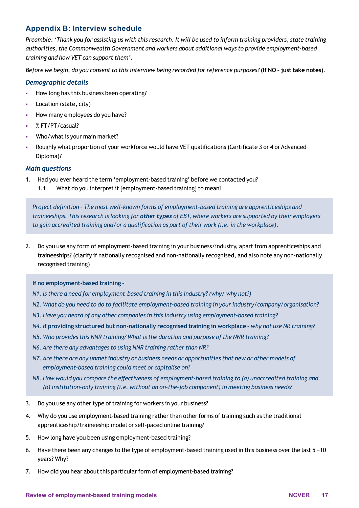## **Appendix B: Interview schedule**

*Preamble: 'Thank you for assisting us with this research. It will be used to inform training providers, state training authorities, the Commonwealth Government and workers about additional ways to provide employment-based training and how VET can support them'.* 

*Before we begin, do you consent to this interview being recorded for reference purposes?* **(If NO – just take notes)***.*

#### *Demographic details*

- How long has this business been operating?
- **Location (state, city)**
- How many employees do you have?
- % FT/PT/casual?
- Who/what is your main market?
- Roughly what proportion of your workforce would have VET qualifications (Certificate 3 or 4 or Advanced Diploma)?

#### *Main questions*

- 1. Had you ever heard the term 'employment-based training' before we contacted you?
	- 1.1. What do you interpret it [employment-based training] to mean?

*Project definition – The most well-known forms of employment-based training are apprenticeships and traineeships. This research is looking for other types of EBT, where workers are supported by their employers to gain accredited training and/or a qualification as part of their work (i.e. in the workplace).*

2. Do you use any form of employment-based training in your business/industry, apart from apprenticeships and traineeships? (clarify if nationally recognised and non-nationally recognised, and also note any non-nationally recognised training)

#### **If no employment-based training –**

- *N1. Is there a need for employment-based training in this industry? (why/ why not?)*
- *N2. What do you need to do to facilitate employment-based training in your industry/company/organisation?*
- *N3. Have you heard of any other companies in this industry using employment-based training?*
- *N4. I***f providing structured but non-nationally recognised training in workplace –** *why not use NR training?*
- *N5. Who provides this NNR training? What is the duration and purpose of the NNR training?*
- *N6. Are there any advantages to using NNR training rather than NR?*
- *N7. Are there are any unmet industry or business needs or opportunities that new or other models of employment-based training could meet or capitalise on?*
- *N8. How would you compare the effectiveness of employment-based training to (a) unaccredited training and (b) institution-only training (i.e. without an on-the-job component) in meeting business needs?*
- 3. Do you use any other type of training for workers in your business?
- 4. Why do you use employment-based training rather than other forms of training such as the traditional apprenticeship/traineeship model or self-paced online training?
- 5. How long have you been using employment-based training?
- 6. Have there been any changes to the type of employment-based training used in this business over the last 5 −10 years? Why?
- 7. How did you hear about this particular form of employment-based training?

#### **Review of employment-based training models NCVER 17**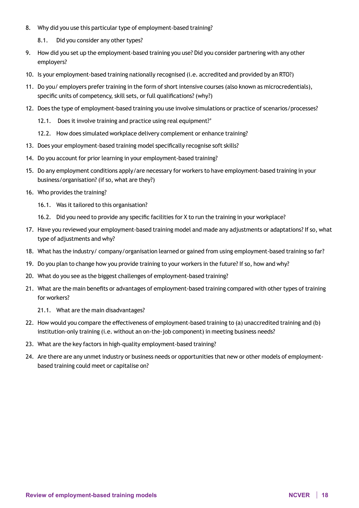- 8. Why did you use this particular type of employment-based training?
	- 8.1. Did you consider any other types?
- 9. How did you set up the employment-based training you use? Did you consider partnering with any other employers?
- 10. Is your employment-based training nationally recognised (i.e. accredited and provided by an RTO?)
- 11. Do you/ employers prefer training in the form of short intensive courses (also known as microcredentials), specific units of competency, skill sets, or full qualifications? (why?)
- 12. Does the type of employment-based training you use involve simulations or practice of scenarios/processes?
	- 12.1. Does it involve training and practice using real equipment?'
	- 12.2. How does simulated workplace delivery complement or enhance training?
- 13. Does your employment-based training model specifically recognise soft skills?
- 14. Do you account for prior learning in your employment-based training?
- 15. Do any employment conditions apply/are necessary for workers to have employment-based training in your business/organisation? (if so, what are they?)
- 16. Who provides the training?
	- 16.1. Was it tailored to this organisation?
	- 16.2. Did you need to provide any specific facilities for X to run the training in your workplace?
- 17. Have you reviewed your employment-based training model and made any adjustments or adaptations? If so, what type of adjustments and why?
- 18. What has the industry/ company/organisation learned or gained from using employment-based training so far?
- 19. Do you plan to change how you provide training to your workers in the future? If so, how and why?
- 20. What do you see as the biggest challenges of employment-based training?
- 21. What are the main benefits or advantages of employment-based training compared with other types of training for workers?
	- 21.1. What are the main disadvantages?
- 22. How would you compare the effectiveness of employment-based training to (a) unaccredited training and (b) institution-only training (i.e. without an on-the-job component) in meeting business needs?
- 23. What are the key factors in high-quality employment-based training?
- 24. Are there are any unmet industry or business needs or opportunities that new or other models of employmentbased training could meet or capitalise on?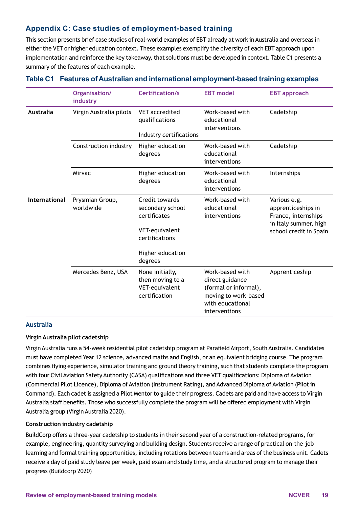## **Appendix C: Case studies of employment-based training**

This section presents brief case studies of real-world examples of EBT already at work in Australia and overseas in either the VET or higher education context. These examples exemplify the diversity of each EBT approach upon implementation and reinforce the key takeaway, that solutions must be developed in context. Table C1 presents a summary of the features of each example.

|                  | Organisation/<br>industry    | Certification/s                                                                        | <b>EBT</b> model                                                                                                         | <b>EBT</b> approach                                                                                          |
|------------------|------------------------------|----------------------------------------------------------------------------------------|--------------------------------------------------------------------------------------------------------------------------|--------------------------------------------------------------------------------------------------------------|
| <b>Australia</b> | Virgin Australia pilots      | <b>VET</b> accredited<br>qualifications<br>Industry certifications                     | Work-based with<br>educational<br>interventions                                                                          | Cadetship                                                                                                    |
|                  | Construction industry        | Higher education<br>degrees                                                            | Work-based with<br>educational<br>interventions                                                                          | Cadetship                                                                                                    |
|                  | Mirvac                       | Higher education<br>degrees                                                            | Work-based with<br>educational<br>interventions                                                                          | Internships                                                                                                  |
| International    | Prysmian Group,<br>worldwide | Credit towards<br>secondary school<br>certificates<br>VET-equivalent<br>certifications | Work-based with<br>educational<br>interventions                                                                          | Various e.g.<br>apprenticeships in<br>France, internships<br>in Italy summer, high<br>school credit in Spain |
|                  |                              | Higher education<br>degrees                                                            |                                                                                                                          |                                                                                                              |
|                  | Mercedes Benz, USA           | None initially,<br>then moving to a<br>VET-equivalent<br>certification                 | Work-based with<br>direct guidance<br>(formal or informal),<br>moving to work-based<br>with educational<br>interventions | Apprenticeship                                                                                               |

#### **Table C1 Features of Australian and international employment-based training examples**

#### **Australia**

#### **Virgin Australia pilot cadetship**

Virgin Australia runs a 54-week residential pilot cadetship program at Parafield Airport, South Australia. Candidates must have completed Year 12 science, advanced maths and English, or an equivalent bridging course. The program combines flying experience, simulator training and ground theory training, such that students complete the program with four Civil Aviation Safety Authority (CASA) qualifications and three VET qualifications: Diploma of Aviation (Commercial Pilot Licence), Diploma of Aviation (Instrument Rating), and Advanced Diploma of Aviation (Pilot in Command). Each cadet is assigned a Pilot Mentor to guide their progress. Cadets are paid and have access to Virgin Australia staff benefits. Those who successfully complete the program will be offered employment with Virgin Australia group (Virgin Australia 2020).

#### **Construction industry cadetship**

BuildCorp offers a three-year cadetship to students in their second year of a construction-related programs, for example, engineering, quantity surveying and building design. Students receive a range of practical on-the-job learning and formal training opportunities, including rotations between teams and areas of the business unit. Cadets receive a day of paid study leave per week, paid exam and study time, and a structured program to manage their progress (Buildcorp 2020)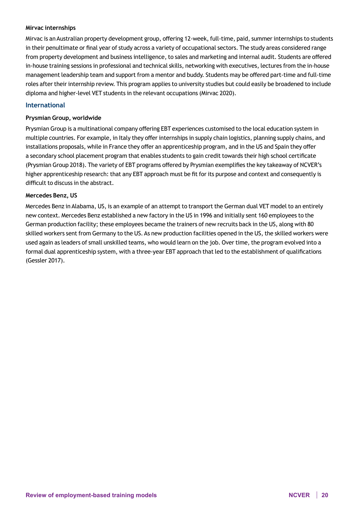#### **Mirvac internships**

Mirvac is an Australian property development group, offering 12-week, full-time, paid, summer internships to students in their penultimate or final year of study across a variety of occupational sectors. The study areas considered range from property development and business intelligence, to sales and marketing and internal audit. Students are offered in-house training sessions in professional and technical skills, networking with executives, lectures from the in-house management leadership team and support from a mentor and buddy. Students may be offered part-time and full-time roles after their internship review. This program applies to university studies but could easily be broadened to include diploma and higher-level VET students in the relevant occupations (Mirvac 2020).

#### **International**

#### **Prysmian Group, worldwide**

Prysmian Group is a multinational company offering EBT experiences customised to the local education system in multiple countries. For example, in Italy they offer internships in supply chain logistics, planning supply chains, and installations proposals, while in France they offer an apprenticeship program, and in the US and Spain they offer a secondary school placement program that enables students to gain credit towards their high school certificate (Prysmian Group 2018). The variety of EBT programs offered by Prysmian exemplifies the key takeaway of NCVER's higher apprenticeship research: that any EBT approach must be fit for its purpose and context and consequently is difficult to discuss in the abstract.

#### **Mercedes Benz, US**

Mercedes Benz in Alabama, US, is an example of an attempt to transport the German dual VET model to an entirely new context. Mercedes Benz established a new factory in the US in 1996 and initially sent 160 employees to the German production facility; these employees became the trainers of new recruits back in the US, along with 80 skilled workers sent from Germany to the US. As new production facilities opened in the US, the skilled workers were used again as leaders of small unskilled teams, who would learn on the job. Over time, the program evolved into a formal dual apprenticeship system, with a three-year EBT approach that led to the establishment of qualifications (Gessler 2017).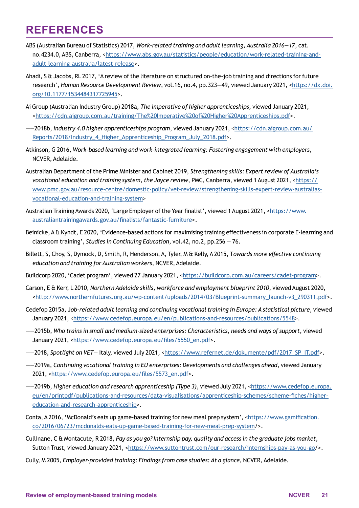## **REFERENCES**

- ABS (Australian Bureau of Statistics) 2017, *Work-related training and adult learning, Australia 2016—17*, cat. no.4234.0, ABS, Canberra, [<https://www.abs.gov.au/statistics/people/education/work-related-training-and](https://www.abs.gov.au/statistics/people/education/work-related-training-and-adult-learning-australia/latest-release)[adult-learning-australia/latest-release](https://www.abs.gov.au/statistics/people/education/work-related-training-and-adult-learning-australia/latest-release)>.
- Ahadi, S & Jacobs, RL 2017, 'A review of the literature on structured on-the-job training and directions for future research', *Human Resource Development Review*, vol.16, no.4, pp.323-49, viewed January 2021, <[https://dx.doi.](https://dx.doi.org/10.1177/1534484317725945) [org/10.1177/1534484317725945](https://dx.doi.org/10.1177/1534484317725945)>.
- Ai Group (Australian Industry Group) 2018a, *The imperative of higher apprenticeships*, viewed January 2021, [<https://cdn.aigroup.com.au/training/The%20Imperative%20of%20Higher%20Apprenticeships.pdf](https://cdn.aigroup.com.au/training/The%20Imperative%20of%20Higher%20Apprenticeships.pdf)>.
- ——2018b, *Industry 4.0 higher apprenticeships program*, viewed January 2021, <[https://cdn.aigroup.com.au/](https://cdn.aigroup.com.au/Reports/2018/Industry_4_Higher_Apprenticeship_Program_July_2018.pdf) [Reports/2018/Industry\\_4\\_Higher\\_Apprenticeship\\_Program\\_July\\_2018.pdf](https://cdn.aigroup.com.au/Reports/2018/Industry_4_Higher_Apprenticeship_Program_July_2018.pdf)>.
- Atkinson, G 2016, *Work-based learning and work-integrated learning: Fostering engagement with employers*, NCVER, Adelaide.
- Australian Department of the Prime Minister and Cabinet 2019, *Strengthening skills: Expert review of Australia's vocational education and training system, the Joyce review*, PMC, Canberra, viewed 1 August 2021, [<https://](https://www.pmc.gov.au/resource-centre/domestic-policy/vet-review/strengthening-skills-expert-review-australias-vocational-education-and-training-system) [www.pmc.gov.au/resource-centre/domestic-policy/vet-review/strengthening-skills-expert-review-australias](https://www.pmc.gov.au/resource-centre/domestic-policy/vet-review/strengthening-skills-expert-review-australias-vocational-education-and-training-system)[vocational-education-and-training-system](https://www.pmc.gov.au/resource-centre/domestic-policy/vet-review/strengthening-skills-expert-review-australias-vocational-education-and-training-system)>
- Australian Training Awards 2020, 'Large Employer of the Year finalist', viewed 1 August 2021, <[https://www.](https://www.australiantrainingawards.gov.au/finalists/fantastic-furniture) [australiantrainingawards.gov.au/finalists/fantastic-furniture>](https://www.australiantrainingawards.gov.au/finalists/fantastic-furniture).
- Beinicke, A & Kyndt, E 2020, 'Evidence-based actions for maximising training effectiveness in corporate E-learning and classroom training', *Studies in Continuing Education*, vol.42, no.2, pp.256 — 76.
- Billett, S, Choy, S, Dymock, D, Smith, R, Henderson, A, Tyler, M & Kelly, A 2015, T*owards more effective continuing education and training for Australian workers*, NCVER, Adelaide.
- Buildcorp 2020, 'Cadet program', viewed 27 January 2021, <<https://buildcorp.com.au/careers/cadet-program>>.
- Carson, E & Kerr, L 2010, *Northern Adelaide skills, workforce and employment blueprint 2010*, viewed August 2020, [<http://www.northernfutures.org.au/wp-content/uploads/2014/03/Blueprint-summary\\_launch-v3\\_290311.pdf](<https://www.aisc.net.au/covid-19>)>.
- Cedefop 2015a, J*ob-related adult learning and continuing vocational training in Europe: A statistical picture*, viewed January 2021, <<https://www.cedefop.europa.eu/en/publications-and-resources/publications/5548>>.
- ——2015b, *Who trains in small and medium-sized enterprises: Characteristics, needs and ways of support*, viewed January 2021, <[https://www.cedefop.europa.eu/files/5550\\_en.pdf>](https://www.cedefop.europa.eu/files/5550_en.pdf).
- ——2018, *Spotlight on VET* Italy, viewed July 2021, [<https://www.refernet.de/dokumente/pdf/2017\\_SP\\_IT.pdf](https://www.refernet.de/dokumente/pdf/2017_SP_IT.pdf)>.
- ——2019a, *Continuing vocational training in EU enterprises: Developments and challenges ahead*, viewed January 2021, <[https://www.cedefop.europa.eu/files/5573\\_en.pdf>](https://www.cedefop.europa.eu/files/5573_en.pdf).
- ——2019b, *Higher education and research apprenticeship (Type 3)*, viewed July 2021, <[https://www.cedefop.europa.](https://www.cedefop.europa.eu/en/printpdf/publications-and-resources/data-visualisations/apprenticeship-schemes/scheme-fiches/higher-education-and-research-apprenticeship) [eu/en/printpdf/publications-and-resources/data-visualisations/apprenticeship-schemes/scheme-fiches/higher](https://www.cedefop.europa.eu/en/printpdf/publications-and-resources/data-visualisations/apprenticeship-schemes/scheme-fiches/higher-education-and-research-apprenticeship)[education-and-research-apprenticeship](https://www.cedefop.europa.eu/en/printpdf/publications-and-resources/data-visualisations/apprenticeship-schemes/scheme-fiches/higher-education-and-research-apprenticeship)>.
- Conta, A 2016, 'McDonald's eats up game-based training for new meal prep system', [<https://www.gamification.](https://www.gamification.co/2016/06/23/mcdonalds-eats-up-game-based-training-for-new-meal-prep-system) [co/2016/06/23/mcdonalds-eats-up-game-based-training-for-new-meal-prep-system](https://www.gamification.co/2016/06/23/mcdonalds-eats-up-game-based-training-for-new-meal-prep-system)/>.
- Cullinane, C & Montacute, R 2018, *Pay as you go? Internship pay, quality and access in the graduate jobs market*, Sutton Trust, viewed January 2021, <<https://www.suttontrust.com/our-research/internships-pay-as-you-go>/>.
- Cully, M 2005, *Employer-provided training: Findings from case studies: At a glance*, NCVER, Adelaide.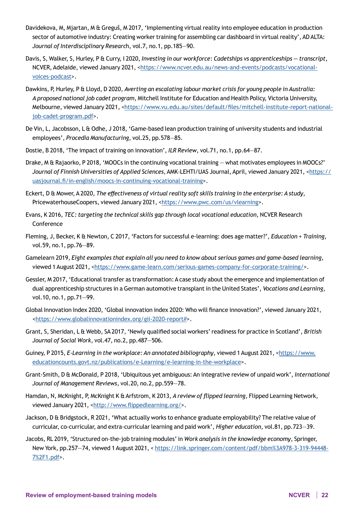- Davidekova, M, Mjartan, M & Greguš, M 2017, 'Implementing virtual reality into employee education in production sector of automotive industry: Creating worker training for assembling car dashboard in virtual reality', AD ALTA: *Journal of Interdisciplinary Researc*h, vol.7, no.1, pp.185—90.
- Davis, S, Walker, S, Hurley, P & Curry, I 2020, *Investing in our workforce: Cadetships vs apprenticeships transcript*, NCVER, Adelaide, viewed January 2021, [<https://www.ncver.edu.au/news-and-events/podcasts/vocational](https://www.ncver.edu.au/news-and-events/podcasts/vocational-voices-podcast)[voices-podcast](https://www.ncver.edu.au/news-and-events/podcasts/vocational-voices-podcast)>.
- Dawkins, P, Hurley, P & Lloyd, D 2020, *Averting an escalating labour market crisis for young people in Australia: A proposed national job cadet program*, Mitchell Institute for Education and Health Policy, Victoria University, Melbourne, viewed January 2021, <[https://www.vu.edu.au/sites/default/files/mitchell-institute-report-national](https://www.vu.edu.au/sites/default/files/mitchell-institute-report-national-job-cadet-program.pdf)[job-cadet-program.pdf](https://www.vu.edu.au/sites/default/files/mitchell-institute-report-national-job-cadet-program.pdf)>.
- De Vin, L, Jacobsson, L & Odhe, J 2018, 'Game-based lean production training of university students and industrial employees', *Procedia Manufacturing*, vol.25, pp.578—85.
- Dostie, B 2018, 'The impact of training on innovation', *ILR Review*, vol.71, no.1, pp.64—87.
- Drake, M & Rajaorko, P 2018, 'MOOCs in the continuing vocational training what motivates employees in MOOCs?' *Journal of Finnish Universities of Applied Sciences*, AMK-LEHTI/UAS Journal, April, viewed January 2021, [<https://](https://uasjournal.fi/in-english/moocs-in-continuing-vocational-training) [uasjournal.fi/in-english/moocs-in-continuing-vocational-training>](https://uasjournal.fi/in-english/moocs-in-continuing-vocational-training).
- Eckert, D & Mower, A 2020, *The effectiveness of virtual reality soft skills training in the enterprise: A study*, PricewaterhouseCoopers, viewed January 2021, [<https://www.pwc.com/us/vlearning](https://www.pwc.com/us/vlearning)>.
- Evans, K 2016, *TEC: targeting the technical skills gap through local vocational education*, NCVER Research Conference
- Fleming, J, Becker, K & Newton, C 2017, 'Factors for successful e-learning: does age matter?', *Education + Training*, vol.59, no.1, pp.76—89.
- Gamelearn 2019, *Eight examples that explain all you need to know about serious games and game-based learning*, viewed 1 August 2021, <<https://www.game-learn.com/serious-games-company-for-corporate-training/>>.
- Gessler, M 2017, 'Educational transfer as transformation: A case study about the emergence and implementation of dual apprenticeship structures in a German automotive transplant in the United States', *Vocations and Learning*, vol.10, no.1, pp.71—99.
- Global Innovation Index 2020, 'Global innovation index 2020: Who will finance innovation?', viewed January 2021, [<https://www.globalinnovationindex.org/gii-2020-report#](https://www.globalinnovationindex.org/gii-2020-report#)>.
- Grant, S, Sheridan, L & Webb, SA 2017, 'Newly qualified social workers' readiness for practice in Scotland', *British Journal of Social Work*, vol.47, no.2, pp.487—506.
- Guiney, P 2015, *E-Learning in the workplace: An annotated bibliography*, viewed 1 August 2021, <[https://www.](https://www.educationcounts.govt.nz/publications/e-Learning/e-learning-in-the-workplace) [educationcounts.govt.nz/publications/e-Learning/e-learning-in-the-workplace>](https://www.educationcounts.govt.nz/publications/e-Learning/e-learning-in-the-workplace).
- Grant-Smith, D & McDonald, P 2018, 'Ubiquitous yet ambiguous: An integrative review of unpaid work', *International Journal of Management Reviews*, vol.20, no.2, pp.559—78.
- Hamdan, N, McKnight, P, McKnight K & Arfstrom, K 2013, *A review of flipped learning*, Flipped Learning Network, viewed January 2021, <[http://www.flippedlearning.org/>](http://www.flippedlearning.org/).
- Jackson, D & Bridgstock, R 2021, 'What actually works to enhance graduate employability? The relative value of curricular, co-curricular, and extra-curricular learning and paid work', *Higher education*, vol.81, pp.723—39.
- Jacobs, RL 2019, 'Structured on-the-job training modules' in *Work analysis in the knowledge economy*, Springer, New York, pp.257—74, viewed 1 August 2021, < [https://link.springer.com/content/pdf/bbm%3A978-3-319-94448-](https://link.springer.com/content/pdf/bbm%3A978-3-319-94448-7%2F1.pdf) [7%2F1.pdf](https://link.springer.com/content/pdf/bbm%3A978-3-319-94448-7%2F1.pdf)>.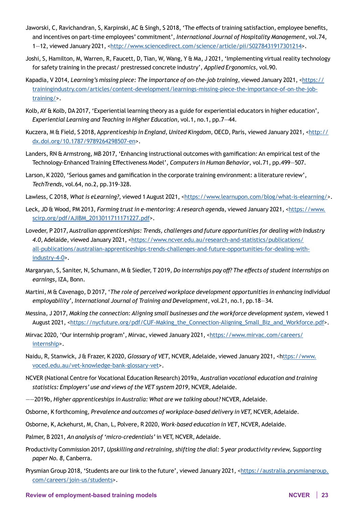- Jaworski, C, Ravichandran, S, Karpinski, AC & Singh, S 2018, 'The effects of training satisfaction, employee benefits, and incentives on part-time employees' commitment', *International Journal of Hospitality Management*, vol.74, 1-12, viewed January 2021, [<http://www.sciencedirect.com/science/article/pii/S0278431917301214](http://www.sciencedirect.com/science/article/pii/S0278431917301214)>.
- Joshi, S, Hamilton, M, Warren, R, Faucett, D, Tian, W, Wang, Y & Ma, J 2021, 'Implementing virtual reality technology for safety training in the precast/ prestressed concrete industry', *Applied Ergonomics*, vol.90.
- Kapadia, V 2014, *Learning's missing piece: The importance of on-the-job training*, viewed January 2021, [<https://](https://trainingindustry.com/articles/content-development/learnings-missing-piece-the-importance-of-on-the-job-training/) [trainingindustry.com/articles/content-development/learnings-missing-piece-the-importance-of-on-the-job](https://trainingindustry.com/articles/content-development/learnings-missing-piece-the-importance-of-on-the-job-training/)[training/](https://trainingindustry.com/articles/content-development/learnings-missing-piece-the-importance-of-on-the-job-training/)>.
- Kolb, AY & Kolb, DA 2017, 'Experiential learning theory as a guide for experiential educators in higher education', *Experiential Learning and Teaching in Higher Education*, vol.1, no.1, pp.7—44.
- Kuczera, M & Field, S 2018, Apprenticeship in England, United Kingdom, OECD, Paris, viewed January 2021, [<http://](http://dx.doi.org/10.1787/9789264298507-en) [dx.doi.org/10.1787/9789264298507-en](http://dx.doi.org/10.1787/9789264298507-en)>.
- Landers, RN & Armstrong, MB 2017, 'Enhancing instructional outcomes with gamification: An empirical test of the Technology-Enhanced Training Effectiveness Model', *Computers in Human Behavior*, vol.71, pp.499—507.
- Larson, K 2020, 'Serious games and gamification in the corporate training environment: a literature review', *TechTrends*, vol.64, no.2, pp.319-328.
- Lawless, C 2018, What is eLearning?, viewed 1 August 2021, [<https://www.learnupon.com/blog/what-is-elearning/](https://www.learnupon.com/blog/what-is-elearning/)>.
- Leck, JD & Wood, PM 2013, *Forming trust in e-mentoring: A research agend*a, viewed January 2021, [<https://www.](https://www.scirp.org/pdf/AJIBM_2013011711171227.pdf) [scirp.org/pdf/AJIBM\\_2013011711171227.pdf](https://www.scirp.org/pdf/AJIBM_2013011711171227.pdf)>.
- Loveder, P 2017, A*ustralian apprenticeships: Trends, challenges and future opportunities for dealing with Industry*  4.0, Adelaide, viewed January 2021, [<https://www.ncver.edu.au/research-and-statistics/publications/](https://www.ncver.edu.au/research-and-statistics/publications/all-publications/australian-apprenticeships-trends-challenges-and-future-opportunities-for-dealing-with-industry-4-0) [all-publications/australian-apprenticeships-trends-challenges-and-future-opportunities-for-dealing-with](https://www.ncver.edu.au/research-and-statistics/publications/all-publications/australian-apprenticeships-trends-challenges-and-future-opportunities-for-dealing-with-industry-4-0)[industry-4-0](https://www.ncver.edu.au/research-and-statistics/publications/all-publications/australian-apprenticeships-trends-challenges-and-future-opportunities-for-dealing-with-industry-4-0)>.
- Margaryan, S, Saniter, N, Schumann, M & Siedler, T 2019, *Do internships pay off? The effects of student internships on earnings*, IZA, Bonn.
- Martini, M & Cavenago, D 2017, '*The role of perceived workplace development opportunities in enhancing individual employability', International Journal of Training and Development*, vol.21, no.1, pp.18—34.
- Messina, J 2017, *Making the connection: Aligning small businesses and the workforce development system*, viewed 1 August 2021, <[https://nycfuture.org/pdf/CUF-Making\\_the\\_Connection-Aligning\\_Small\\_Biz\\_and\\_Workforce.pdf>](https://nycfuture.org/pdf/CUF-Making_the_Connection-Aligning_Small_Biz_and_Workforce.pdf).
- Mirvac 2020, 'Our internship program', Mirvac, viewed January 2021, <[https://www.mirvac.com/careers/](https://www.mirvac.com/careers/internship) [internship](https://www.mirvac.com/careers/internship)>.
- Naidu, R, Stanwick, J & Frazer, K 2020, *Glossary of VET*, NCVER, Adelaide, viewed January 2021, <[https://www.](ttps://www.voced.edu.au/vet-knowledge-bank-glossary-vet) [voced.edu.au/vet-knowledge-bank-glossary-vet](ttps://www.voced.edu.au/vet-knowledge-bank-glossary-vet)>.
- NCVER (National Centre for Vocational Education Research) 2019a, *Australian vocational education and training statistics: Employers' use and views of the VET system 2019*, NCVER, Adelaide.
- ——2019b, *Higher apprenticeships in Australia: What are we talking about?* NCVER, Adelaide.
- Osborne, K forthcoming, *Prevalence and outcomes of workplace-based delivery in VET,* NCVER, Adelaide.
- Osborne, K, Ackehurst, M, Chan, L, Polvere, R 2020, *Work-based education in VET*, NCVER, Adelaide.
- Palmer, B 2021, *An analysis of 'micro-credentials'* in VET, NCVER, Adelaide.
- Productivity Commission 2017, *Upskilling and retraining, shifting the dial: 5 year productivity review, Supporting paper No. 8*, Canberra.
- Prysmian Group 2018, 'Students are our link to the future', viewed January 2021, <[https://australia.prysmiangroup.](https://australia.prysmiangroup.com/careers/join-us/students) [com/careers/join-us/students](https://australia.prysmiangroup.com/careers/join-us/students)>.

#### **Review of employment-based training models NCVER 23**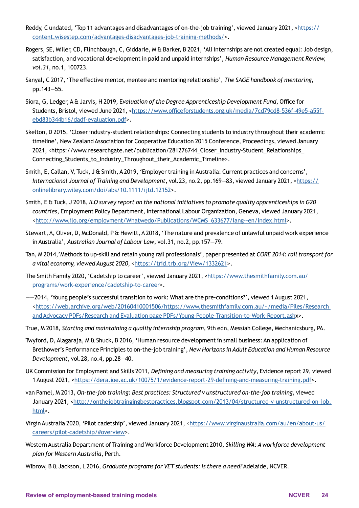- Reddy, C undated, 'Top 11 advantages and disadvantages of on-the-job training', viewed January 2021, <[https://](https://content.wisestep.com/advantages-disadvantages-job-training-methods/) [content.wisestep.com/advantages-disadvantages-job-training-methods/](https://content.wisestep.com/advantages-disadvantages-job-training-methods/)>.
- Rogers, SE, Miller, CD, Flinchbaugh, C, Giddarie, M & Barker, B 2021, 'All internships are not created equal: Job design, satisfaction, and vocational development in paid and unpaid internships', *Human Resource Management Review, vol.31*, no.1, 100723.
- Sanyal, C 2017, 'The effective mentor, mentee and mentoring relationship', *The SAGE handbook of mentoring*, pp.143—55.
- Siora, G, Ledger, A & Jarvis, H 2019, E*valuation of the Degree Apprenticeship Development Fund*, Office for Students, Bristol, viewed June 2021, <[https://www.officeforstudents.org.uk/media/7cd79cd8-536f-49e5-a55f](https://www.officeforstudents.org.uk/media/7cd79cd8-536f-49e5-a55f-ebd83b344b16/dadf-evaluation.pdf)[ebd83b344b16/dadf-evaluation.pdf](https://www.officeforstudents.org.uk/media/7cd79cd8-536f-49e5-a55f-ebd83b344b16/dadf-evaluation.pdf)>.
- Skelton, D 2015, 'Closer industry-student relationships: Connecting students to industry throughout their academic timeline', New Zealand Association for Cooperative Education 2015 Conference, Proceedings, viewed January 2021, <https://www.researchgate.net/publication/281276744\_Closer\_Industry-Student\_Relationships\_ Connecting\_Students\_to\_Industry\_Throughout\_their\_Academic\_Timeline>.
- Smith, E, Callan, V, Tuck, J & Smith, A 2019, 'Employer training in Australia: Current practices and concerns', *International Journal of Training and Development*, vol.23, no.2, pp.169—83, viewed January 2021, [<https://](https://onlinelibrary.wiley.com/doi/abs/10.1111/ijtd.12152) [onlinelibrary.wiley.com/doi/abs/10.1111/ijtd.12152](https://onlinelibrary.wiley.com/doi/abs/10.1111/ijtd.12152)>.
- Smith, E & Tuck, J 2018, *ILO survey report on the national initiatives to promote quality apprenticeships in G20 countries*, Employment Policy Department, International Labour Organization, Geneva, viewed January 2021, [<http://www.ilo.org/employment/Whatwedo/Publications/WCMS\\_633677/lang--en/index.htm](http://www.ilo.org/employment/Whatwedo/Publications/WCMS_633677/lang--en/index.htm)l>.
- Stewart, A, Oliver, D, McDonald, P & Hewitt, A 2018, 'The nature and prevalence of unlawful unpaid work experience in Australia', *Australian Journal of Labour Law*, vol.31, no.2, pp.157—79.
- Tan, M 2014,'Methods to up-skill and retain young rail professionals', paper presented at *CORE 2014: rail transport for a vital economy, viewed August 2020*, [<https://trid.trb.org/View/1332621](https://trid.trb.org/View/1332621)>.
- The Smith Family 2020, 'Cadetship to career', viewed January 2021, <[https://www.thesmithfamily.com.au/](https://www.thesmithfamily.com.au/programs/work-experience/cadetship-to-career) [programs/work-experience/cadetship-to-career](https://www.thesmithfamily.com.au/programs/work-experience/cadetship-to-career)>.
- ——2014, 'Young people's successful transition to work: What are the pre-conditions?', viewed 1 August 2021, [<https://web.archive.org/web/20160410001506/https://www.thesmithfamily.com.au/~/media/Files/Research](https://web.archive.org/web/20160410001506/https://www.thesmithfamily.com.au/~/media/Files/Research and Advocacy PDFs/Research and Evaluation page PDFs/Young-People-Transition-to-Work-Report.ash)  [and Advocacy PDFs/Research and Evaluation page PDFs/Young-People-Transition-to-Work-Report.ash](https://web.archive.org/web/20160410001506/https://www.thesmithfamily.com.au/~/media/Files/Research and Advocacy PDFs/Research and Evaluation page PDFs/Young-People-Transition-to-Work-Report.ash)x>.
- True, M 2018, *Starting and maintaining a quality internship program*, 9th edn, Messiah College, Mechanicsburg, PA.
- Twyford, D, Alagaraja, M & Shuck, B 2016, 'Human resource development in small business: An application of Brethower's Performance Principles to on-the-job training', *New Horizons in Adult Education and Human Resource Development*, vol.28, no.4, pp.28—40.
- UK Commission for Employment and Skills 2011, *Defining and measuring training activity*, Evidence report 29, viewed 1 August 2021, <[https://dera.ioe.ac.uk/10075/1/evidence-report-29-defining-and-measuring-training.pdf>](https://dera.ioe.ac.uk/10075/1/evidence-report-29-defining-and-measuring-training.pdf).
- van Pamel, M 2013, *On-the-job training: Best practices: Structured v unstructured on-the-job training*, viewed January 2021, <[http://onthejobtraingingbestpractices.blogspot.com/2013/04/structured-v-unstructured-on-job.](http://onthejobtraingingbestpractices.blogspot.com/2013/04/structured-v-unstructured-on-job.html) [html](http://onthejobtraingingbestpractices.blogspot.com/2013/04/structured-v-unstructured-on-job.html)>.
- Virgin Australia 2020, 'Pilot cadetship', viewed January 2021, <[https://www.virginaustralia.com/au/en/about-us/](https://www.virginaustralia.com/au/en/about-us/careers/pilot-cadetship/#overview) [careers/pilot-cadetship/#overview](https://www.virginaustralia.com/au/en/about-us/careers/pilot-cadetship/#overview)>.
- Western Australia Department of Training and Workforce Development 2010, *Skilling WA: A workforce development plan for Western Australia*, Perth.
- Wibrow, B & Jackson, L 2016, *Graduate programs for VET students: Is there a need?* Adelaide, NCVER.